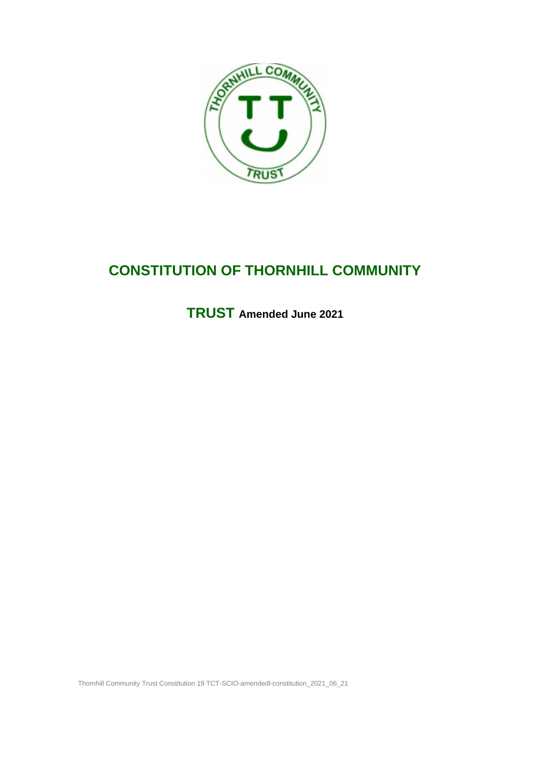

# **CONSTITUTION OF THORNHILL COMMUNITY**

**TRUST Amended June 2021**

Thornhill Community Trust Constitution 19 TCT-SCIO-amendedl-constitution\_2021\_06\_21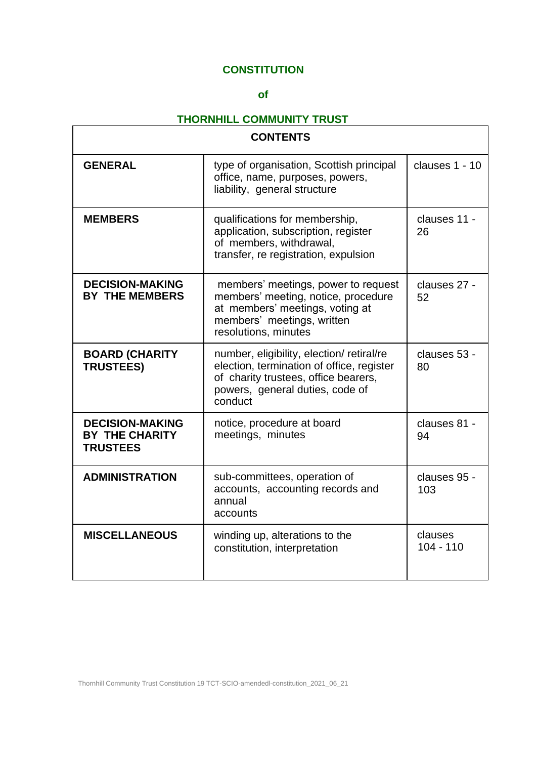# **CONSTITUTION**

# **of**

# **THORNHILL COMMUNITY TRUST**

| <b>CONTENTS</b>                                                    |                                                                                                                                                                             |                        |
|--------------------------------------------------------------------|-----------------------------------------------------------------------------------------------------------------------------------------------------------------------------|------------------------|
| <b>GENERAL</b>                                                     | type of organisation, Scottish principal<br>office, name, purposes, powers,<br>liability, general structure                                                                 | clauses 1 - 10         |
| <b>MEMBERS</b>                                                     | qualifications for membership,<br>application, subscription, register<br>of members, withdrawal,<br>transfer, re registration, expulsion                                    | clauses 11 -<br>26     |
| <b>DECISION-MAKING</b><br><b>BY THE MEMBERS</b>                    | members' meetings, power to request<br>members' meeting, notice, procedure<br>at members' meetings, voting at<br>members' meetings, written<br>resolutions, minutes         | clauses 27 -<br>52     |
| <b>BOARD (CHARITY</b><br><b>TRUSTEES)</b>                          | number, eligibility, election/retiral/re<br>election, termination of office, register<br>of charity trustees, office bearers,<br>powers, general duties, code of<br>conduct | clauses 53 -<br>80     |
| <b>DECISION-MAKING</b><br><b>BY THE CHARITY</b><br><b>TRUSTEES</b> | notice, procedure at board<br>meetings, minutes                                                                                                                             | clauses 81 -<br>94     |
| <b>ADMINISTRATION</b>                                              | sub-committees, operation of<br>accounts, accounting records and<br>annual<br>accounts                                                                                      | clauses 95 -<br>103    |
| <b>MISCELLANEOUS</b>                                               | winding up, alterations to the<br>constitution, interpretation                                                                                                              | clauses<br>$104 - 110$ |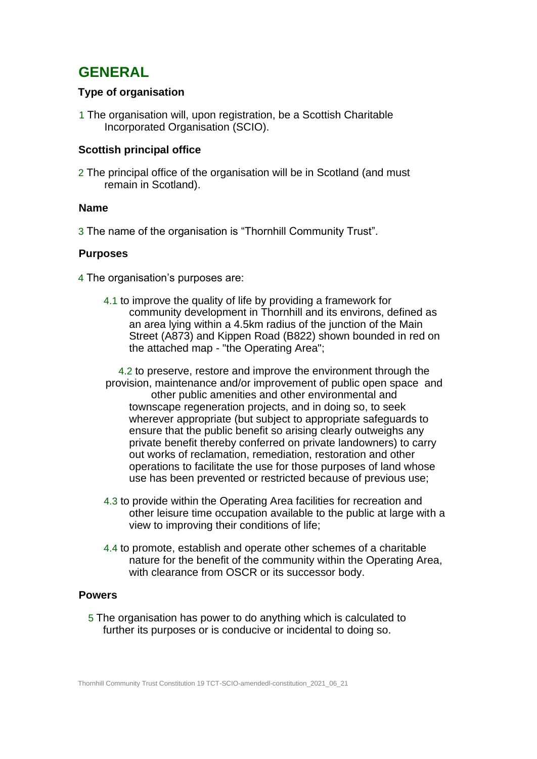# **GENERAL**

# **Type of organisation**

1 The organisation will, upon registration, be a Scottish Charitable Incorporated Organisation (SCIO).

# **Scottish principal office**

2 The principal office of the organisation will be in Scotland (and must remain in Scotland).

# **Name**

3 The name of the organisation is "Thornhill Community Trust".

# **Purposes**

4 The organisation's purposes are:

4.1 to improve the quality of life by providing a framework for community development in Thornhill and its environs, defined as an area lying within a 4.5km radius of the junction of the Main Street (A873) and Kippen Road (B822) shown bounded in red on the attached map - "the Operating Area";

4.2 to preserve, restore and improve the environment through the provision, maintenance and/or improvement of public open space and other public amenities and other environmental and townscape regeneration projects, and in doing so, to seek wherever appropriate (but subject to appropriate safeguards to ensure that the public benefit so arising clearly outweighs any private benefit thereby conferred on private landowners) to carry out works of reclamation, remediation, restoration and other operations to facilitate the use for those purposes of land whose use has been prevented or restricted because of previous use;

- 4.3 to provide within the Operating Area facilities for recreation and other leisure time occupation available to the public at large with a view to improving their conditions of life;
- 4.4 to promote, establish and operate other schemes of a charitable nature for the benefit of the community within the Operating Area, with clearance from OSCR or its successor body.

# **Powers**

5 The organisation has power to do anything which is calculated to further its purposes or is conducive or incidental to doing so.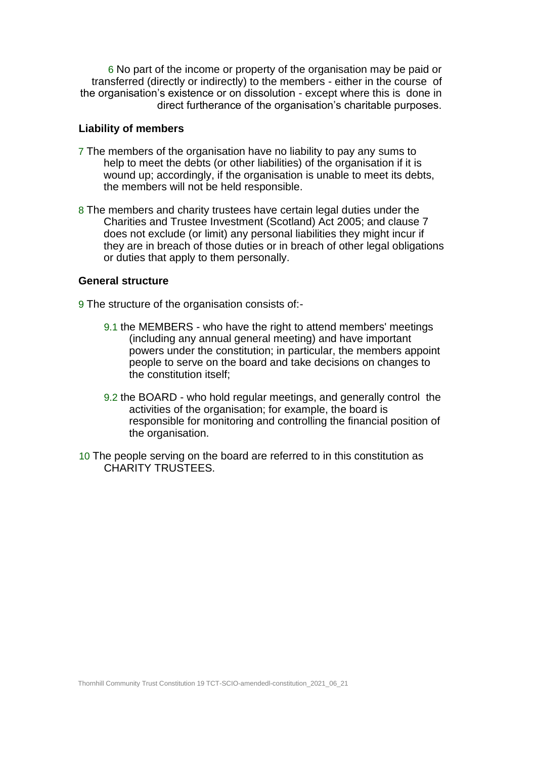6 No part of the income or property of the organisation may be paid or transferred (directly or indirectly) to the members - either in the course of the organisation's existence or on dissolution - except where this is done in direct furtherance of the organisation's charitable purposes.

#### **Liability of members**

- 7 The members of the organisation have no liability to pay any sums to help to meet the debts (or other liabilities) of the organisation if it is wound up; accordingly, if the organisation is unable to meet its debts, the members will not be held responsible.
- 8 The members and charity trustees have certain legal duties under the Charities and Trustee Investment (Scotland) Act 2005; and clause 7 does not exclude (or limit) any personal liabilities they might incur if they are in breach of those duties or in breach of other legal obligations or duties that apply to them personally.

### **General structure**

9 The structure of the organisation consists of:-

- 9.1 the MEMBERS who have the right to attend members' meetings (including any annual general meeting) and have important powers under the constitution; in particular, the members appoint people to serve on the board and take decisions on changes to the constitution itself;
- 9.2 the BOARD who hold regular meetings, and generally control the activities of the organisation; for example, the board is responsible for monitoring and controlling the financial position of the organisation.
- 10 The people serving on the board are referred to in this constitution as CHARITY TRUSTEES.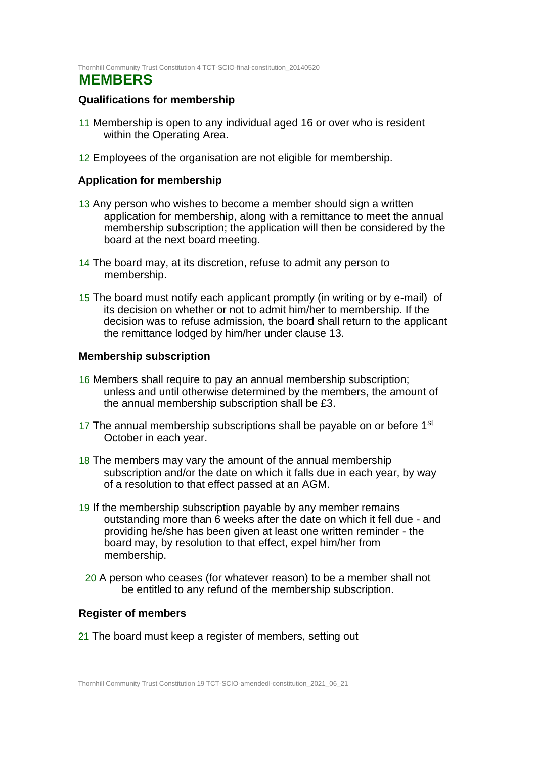Thornhill Community Trust Constitution 4 TCT-SCIO-final-constitution\_20140520

# **MEMBERS**

# **Qualifications for membership**

- 11 Membership is open to any individual aged 16 or over who is resident within the Operating Area.
- 12 Employees of the organisation are not eligible for membership.

### **Application for membership**

- 13 Any person who wishes to become a member should sign a written application for membership, along with a remittance to meet the annual membership subscription; the application will then be considered by the board at the next board meeting.
- 14 The board may, at its discretion, refuse to admit any person to membership.
- 15 The board must notify each applicant promptly (in writing or by e-mail) of its decision on whether or not to admit him/her to membership. If the decision was to refuse admission, the board shall return to the applicant the remittance lodged by him/her under clause 13.

### **Membership subscription**

- 16 Members shall require to pay an annual membership subscription; unless and until otherwise determined by the members, the amount of the annual membership subscription shall be £3.
- 17 The annual membership subscriptions shall be payable on or before 1<sup>st</sup> October in each year.
- 18 The members may vary the amount of the annual membership subscription and/or the date on which it falls due in each year, by way of a resolution to that effect passed at an AGM.
- 19 If the membership subscription payable by any member remains outstanding more than 6 weeks after the date on which it fell due - and providing he/she has been given at least one written reminder - the board may, by resolution to that effect, expel him/her from membership.
- 20 A person who ceases (for whatever reason) to be a member shall not be entitled to any refund of the membership subscription.

# **Register of members**

21 The board must keep a register of members, setting out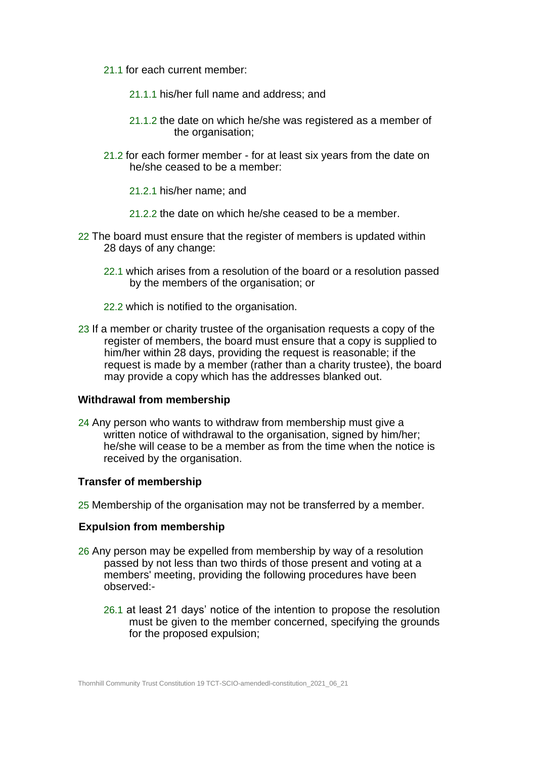- 21.1 for each current member:
	- 21.1.1 his/her full name and address; and
	- 21.1.2 the date on which he/she was registered as a member of the organisation;
- 21.2 for each former member for at least six years from the date on he/she ceased to be a member:
	- 21.2.1 his/her name; and
	- 21.2.2 the date on which he/she ceased to be a member.
- 22 The board must ensure that the register of members is updated within 28 days of any change:
	- 22.1 which arises from a resolution of the board or a resolution passed by the members of the organisation; or
	- 22.2 which is notified to the organisation.
- 23 If a member or charity trustee of the organisation requests a copy of the register of members, the board must ensure that a copy is supplied to him/her within 28 days, providing the request is reasonable; if the request is made by a member (rather than a charity trustee), the board may provide a copy which has the addresses blanked out.

#### **Withdrawal from membership**

24 Any person who wants to withdraw from membership must give a written notice of withdrawal to the organisation, signed by him/her; he/she will cease to be a member as from the time when the notice is received by the organisation.

#### **Transfer of membership**

25 Membership of the organisation may not be transferred by a member.

#### **Expulsion from membership**

- 26 Any person may be expelled from membership by way of a resolution passed by not less than two thirds of those present and voting at a members' meeting, providing the following procedures have been observed:-
	- 26.1 at least 21 days' notice of the intention to propose the resolution must be given to the member concerned, specifying the grounds for the proposed expulsion;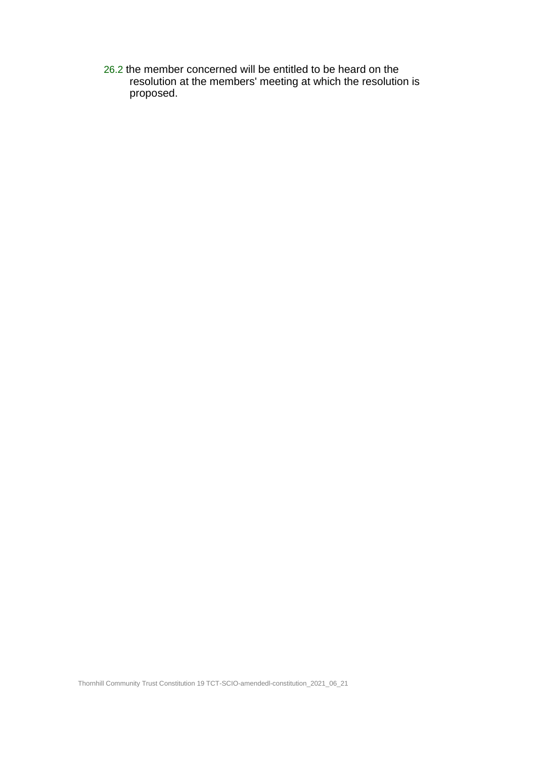26.2 the member concerned will be entitled to be heard on the resolution at the members' meeting at which the resolution is proposed.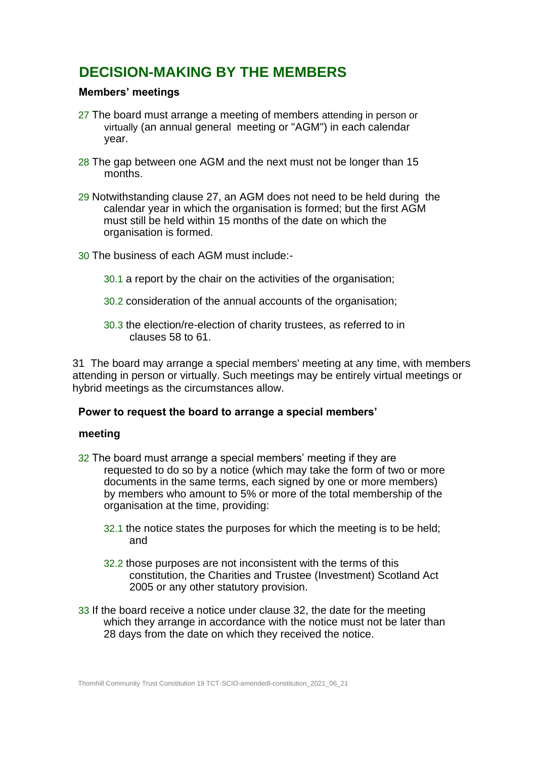# **DECISION-MAKING BY THE MEMBERS**

# **Members' meetings**

- 27 The board must arrange a meeting of members attending in person or virtually (an annual general meeting or "AGM") in each calendar year.
- 28 The gap between one AGM and the next must not be longer than 15 months.
- 29 Notwithstanding clause 27, an AGM does not need to be held during the calendar year in which the organisation is formed; but the first AGM must still be held within 15 months of the date on which the organisation is formed.
- 30 The business of each AGM must include:-
	- 30.1 a report by the chair on the activities of the organisation;
	- 30.2 consideration of the annual accounts of the organisation;
	- 30.3 the election/re-election of charity trustees, as referred to in clauses 58 to 61.

31 The board may arrange a special members' meeting at any time, with members attending in person or virtually. Such meetings may be entirely virtual meetings or hybrid meetings as the circumstances allow.

# **Power to request the board to arrange a special members'**

#### **meeting**

- 32 The board must arrange a special members' meeting if they are requested to do so by a notice (which may take the form of two or more documents in the same terms, each signed by one or more members) by members who amount to 5% or more of the total membership of the organisation at the time, providing:
	- 32.1 the notice states the purposes for which the meeting is to be held; and
	- 32.2 those purposes are not inconsistent with the terms of this constitution, the Charities and Trustee (Investment) Scotland Act 2005 or any other statutory provision.
- 33 If the board receive a notice under clause 32, the date for the meeting which they arrange in accordance with the notice must not be later than 28 days from the date on which they received the notice.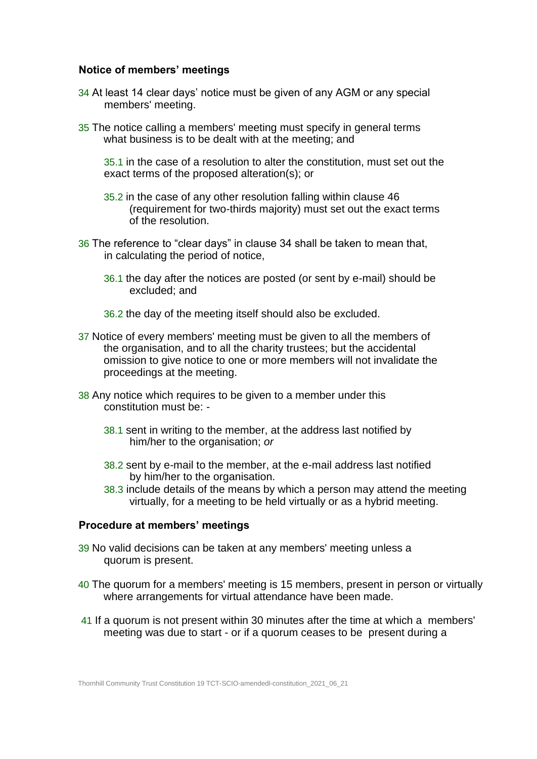### **Notice of members' meetings**

- 34 At least 14 clear days' notice must be given of any AGM or any special members' meeting.
- 35 The notice calling a members' meeting must specify in general terms what business is to be dealt with at the meeting; and

35.1 in the case of a resolution to alter the constitution, must set out the exact terms of the proposed alteration(s); or

- 35.2 in the case of any other resolution falling within clause 46 (requirement for two-thirds majority) must set out the exact terms of the resolution.
- 36 The reference to "clear days" in clause 34 shall be taken to mean that, in calculating the period of notice,
	- 36.1 the day after the notices are posted (or sent by e-mail) should be excluded; and
	- 36.2 the day of the meeting itself should also be excluded.
- 37 Notice of every members' meeting must be given to all the members of the organisation, and to all the charity trustees; but the accidental omission to give notice to one or more members will not invalidate the proceedings at the meeting.
- 38 Any notice which requires to be given to a member under this constitution must be: -
	- 38.1 sent in writing to the member, at the address last notified by him/her to the organisation; *or*
	- 38.2 sent by e-mail to the member, at the e-mail address last notified by him/her to the organisation.
	- 38.3 include details of the means by which a person may attend the meeting virtually, for a meeting to be held virtually or as a hybrid meeting.

#### **Procedure at members' meetings**

- 39 No valid decisions can be taken at any members' meeting unless a quorum is present.
- 40 The quorum for a members' meeting is 15 members, present in person or virtually where arrangements for virtual attendance have been made.
- 41 If a quorum is not present within 30 minutes after the time at which a members' meeting was due to start - or if a quorum ceases to be present during a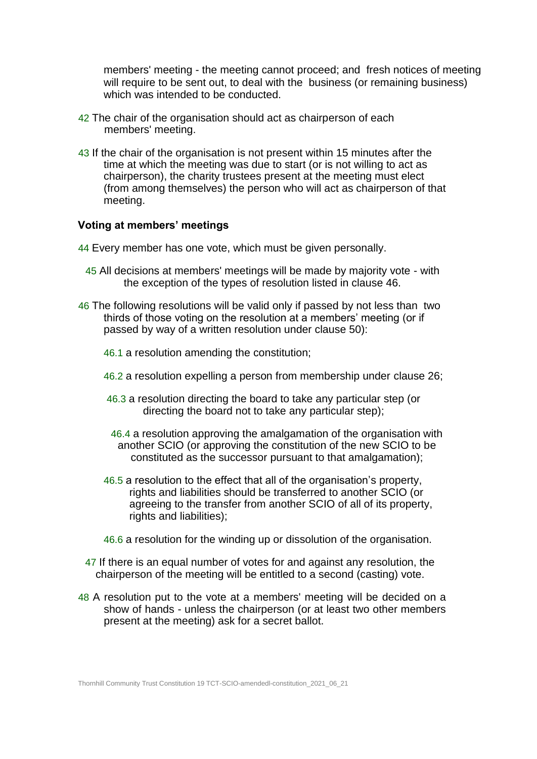members' meeting - the meeting cannot proceed; and fresh notices of meeting will require to be sent out, to deal with the business (or remaining business) which was intended to be conducted.

- 42 The chair of the organisation should act as chairperson of each members' meeting.
- 43 If the chair of the organisation is not present within 15 minutes after the time at which the meeting was due to start (or is not willing to act as chairperson), the charity trustees present at the meeting must elect (from among themselves) the person who will act as chairperson of that meeting.

#### **Voting at members' meetings**

- 44 Every member has one vote, which must be given personally.
	- 45 All decisions at members' meetings will be made by majority vote with the exception of the types of resolution listed in clause 46.
- 46 The following resolutions will be valid only if passed by not less than two thirds of those voting on the resolution at a members' meeting (or if passed by way of a written resolution under clause 50):
	- 46.1 a resolution amending the constitution;
	- 46.2 a resolution expelling a person from membership under clause 26;
	- 46.3 a resolution directing the board to take any particular step (or directing the board not to take any particular step);
	- 46.4 a resolution approving the amalgamation of the organisation with another SCIO (or approving the constitution of the new SCIO to be constituted as the successor pursuant to that amalgamation);
	- 46.5 a resolution to the effect that all of the organisation's property, rights and liabilities should be transferred to another SCIO (or agreeing to the transfer from another SCIO of all of its property, rights and liabilities);
	- 46.6 a resolution for the winding up or dissolution of the organisation.
- 47 If there is an equal number of votes for and against any resolution, the chairperson of the meeting will be entitled to a second (casting) vote.
- 48 A resolution put to the vote at a members' meeting will be decided on a show of hands - unless the chairperson (or at least two other members present at the meeting) ask for a secret ballot.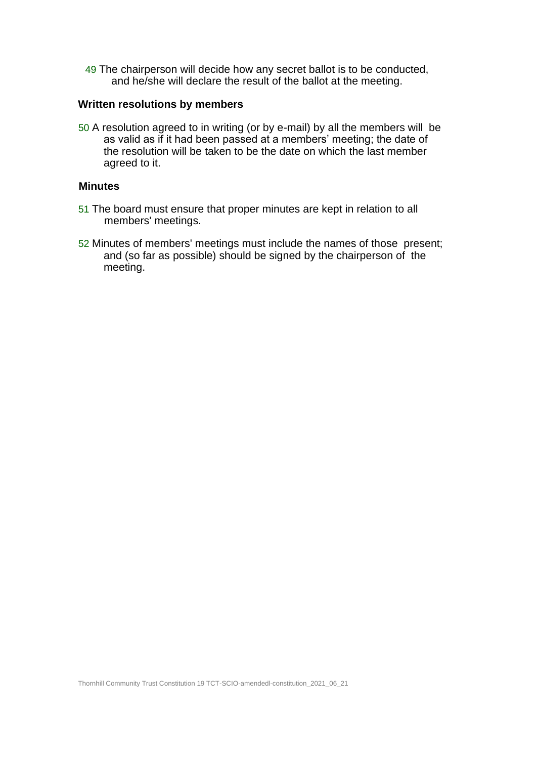49 The chairperson will decide how any secret ballot is to be conducted, and he/she will declare the result of the ballot at the meeting.

#### **Written resolutions by members**

50 A resolution agreed to in writing (or by e-mail) by all the members will be as valid as if it had been passed at a members' meeting; the date of the resolution will be taken to be the date on which the last member agreed to it.

### **Minutes**

- 51 The board must ensure that proper minutes are kept in relation to all members' meetings.
- 52 Minutes of members' meetings must include the names of those present; and (so far as possible) should be signed by the chairperson of the meeting.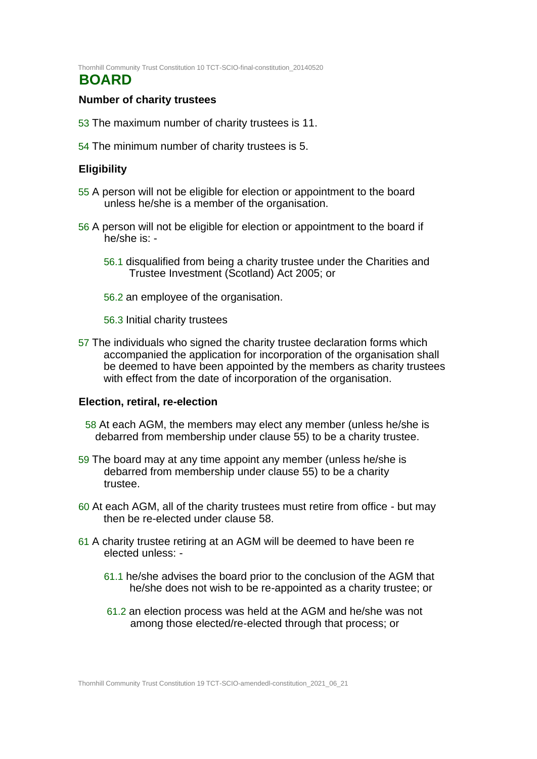Thornhill Community Trust Constitution 10 TCT-SCIO-final-constitution\_20140520

# **BOARD**

### **Number of charity trustees**

- 53 The maximum number of charity trustees is 11.
- 54 The minimum number of charity trustees is 5.

# **Eligibility**

- 55 A person will not be eligible for election or appointment to the board unless he/she is a member of the organisation.
- 56 A person will not be eligible for election or appointment to the board if he/she is: -
	- 56.1 disqualified from being a charity trustee under the Charities and Trustee Investment (Scotland) Act 2005; or
	- 56.2 an employee of the organisation.
	- 56.3 Initial charity trustees
- 57 The individuals who signed the charity trustee declaration forms which accompanied the application for incorporation of the organisation shall be deemed to have been appointed by the members as charity trustees with effect from the date of incorporation of the organisation.

#### **Election, retiral, re-election**

- 58 At each AGM, the members may elect any member (unless he/she is debarred from membership under clause 55) to be a charity trustee.
- 59 The board may at any time appoint any member (unless he/she is debarred from membership under clause 55) to be a charity trustee.
- 60 At each AGM, all of the charity trustees must retire from office but may then be re-elected under clause 58.
- 61 A charity trustee retiring at an AGM will be deemed to have been re elected unless: -
	- 61.1 he/she advises the board prior to the conclusion of the AGM that he/she does not wish to be re-appointed as a charity trustee; or
	- 61.2 an election process was held at the AGM and he/she was not among those elected/re-elected through that process; or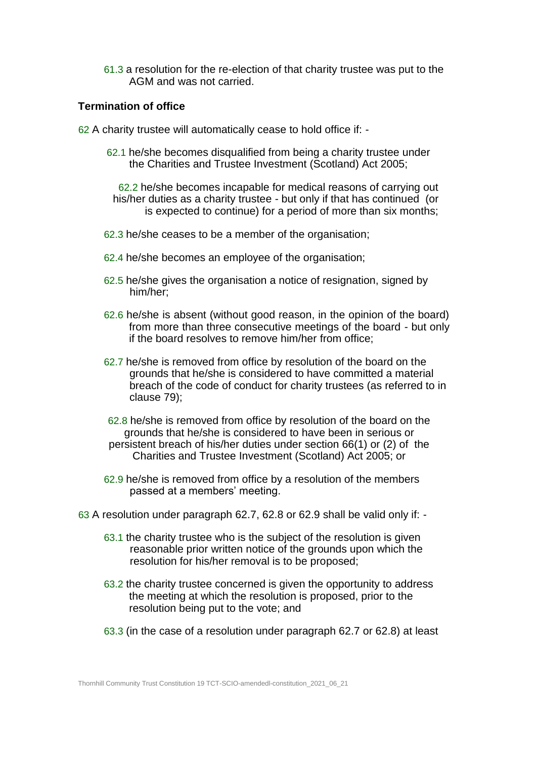61.3 a resolution for the re-election of that charity trustee was put to the AGM and was not carried.

#### **Termination of office**

- 62 A charity trustee will automatically cease to hold office if:
	- 62.1 he/she becomes disqualified from being a charity trustee under the Charities and Trustee Investment (Scotland) Act 2005;

62.2 he/she becomes incapable for medical reasons of carrying out his/her duties as a charity trustee - but only if that has continued (or is expected to continue) for a period of more than six months;

- 62.3 he/she ceases to be a member of the organisation;
- 62.4 he/she becomes an employee of the organisation;
- 62.5 he/she gives the organisation a notice of resignation, signed by him/her;
- 62.6 he/she is absent (without good reason, in the opinion of the board) from more than three consecutive meetings of the board - but only if the board resolves to remove him/her from office;
- 62.7 he/she is removed from office by resolution of the board on the grounds that he/she is considered to have committed a material breach of the code of conduct for charity trustees (as referred to in clause 79);
- 62.8 he/she is removed from office by resolution of the board on the grounds that he/she is considered to have been in serious or persistent breach of his/her duties under section 66(1) or (2) of the Charities and Trustee Investment (Scotland) Act 2005; or
- 62.9 he/she is removed from office by a resolution of the members passed at a members' meeting.
- 63 A resolution under paragraph 62.7, 62.8 or 62.9 shall be valid only if:
	- 63.1 the charity trustee who is the subject of the resolution is given reasonable prior written notice of the grounds upon which the resolution for his/her removal is to be proposed;
	- 63.2 the charity trustee concerned is given the opportunity to address the meeting at which the resolution is proposed, prior to the resolution being put to the vote; and
	- 63.3 (in the case of a resolution under paragraph 62.7 or 62.8) at least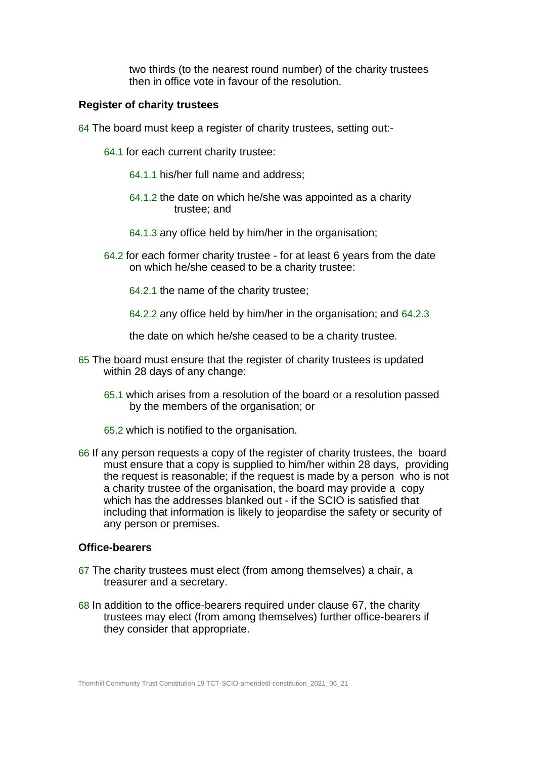two thirds (to the nearest round number) of the charity trustees then in office vote in favour of the resolution.

#### **Register of charity trustees**

- 64 The board must keep a register of charity trustees, setting out:-
	- 64.1 for each current charity trustee:
		- 64.1.1 his/her full name and address;
		- 64.1.2 the date on which he/she was appointed as a charity trustee; and
		- 64.1.3 any office held by him/her in the organisation;
	- 64.2 for each former charity trustee for at least 6 years from the date on which he/she ceased to be a charity trustee:
		- 64.2.1 the name of the charity trustee;
		- 64.2.2 any office held by him/her in the organisation; and 64.2.3

the date on which he/she ceased to be a charity trustee.

- 65 The board must ensure that the register of charity trustees is updated within 28 days of any change:
	- 65.1 which arises from a resolution of the board or a resolution passed by the members of the organisation; or
	- 65.2 which is notified to the organisation.
- 66 If any person requests a copy of the register of charity trustees, the board must ensure that a copy is supplied to him/her within 28 days, providing the request is reasonable; if the request is made by a person who is not a charity trustee of the organisation, the board may provide a copy which has the addresses blanked out - if the SCIO is satisfied that including that information is likely to jeopardise the safety or security of any person or premises.

#### **Office-bearers**

- 67 The charity trustees must elect (from among themselves) a chair, a treasurer and a secretary.
- 68 In addition to the office-bearers required under clause 67, the charity trustees may elect (from among themselves) further office-bearers if they consider that appropriate.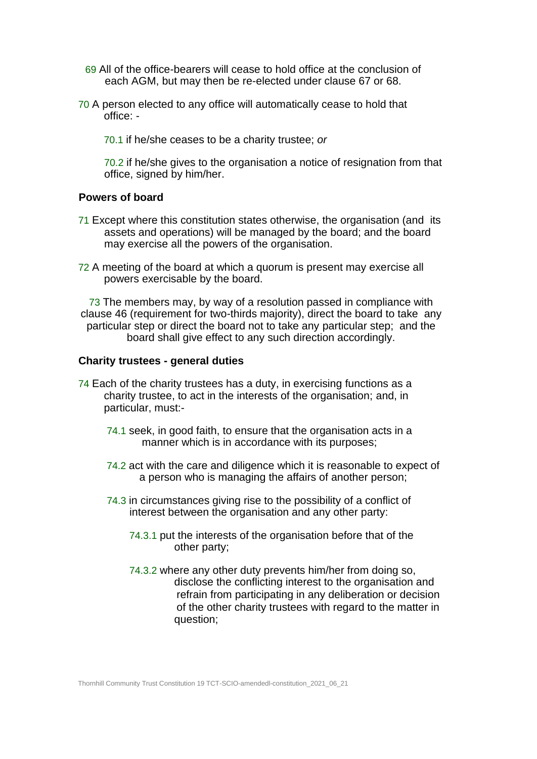- 69 All of the office-bearers will cease to hold office at the conclusion of each AGM, but may then be re-elected under clause 67 or 68.
- 70 A person elected to any office will automatically cease to hold that office: -
	- 70.1 if he/she ceases to be a charity trustee; *or*

70.2 if he/she gives to the organisation a notice of resignation from that office, signed by him/her.

#### **Powers of board**

- 71 Except where this constitution states otherwise, the organisation (and its assets and operations) will be managed by the board; and the board may exercise all the powers of the organisation.
- 72 A meeting of the board at which a quorum is present may exercise all powers exercisable by the board.

73 The members may, by way of a resolution passed in compliance with clause 46 (requirement for two-thirds majority), direct the board to take any particular step or direct the board not to take any particular step; and the board shall give effect to any such direction accordingly.

#### **Charity trustees - general duties**

- 74 Each of the charity trustees has a duty, in exercising functions as a charity trustee, to act in the interests of the organisation; and, in particular, must:-
	- 74.1 seek, in good faith, to ensure that the organisation acts in a manner which is in accordance with its purposes;
	- 74.2 act with the care and diligence which it is reasonable to expect of a person who is managing the affairs of another person;
	- 74.3 in circumstances giving rise to the possibility of a conflict of interest between the organisation and any other party:
		- 74.3.1 put the interests of the organisation before that of the other party;
		- 74.3.2 where any other duty prevents him/her from doing so, disclose the conflicting interest to the organisation and refrain from participating in any deliberation or decision of the other charity trustees with regard to the matter in question;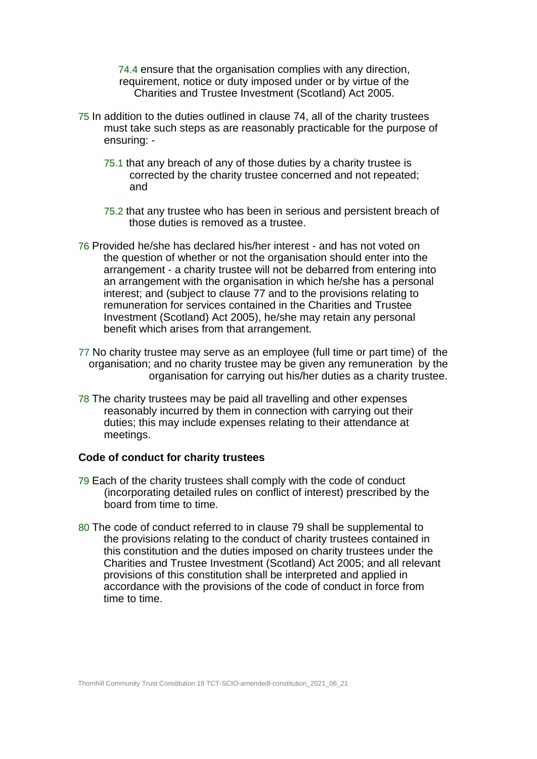74.4 ensure that the organisation complies with any direction, requirement, notice or duty imposed under or by virtue of the Charities and Trustee Investment (Scotland) Act 2005.

- 75 In addition to the duties outlined in clause 74, all of the charity trustees must take such steps as are reasonably practicable for the purpose of ensuring: -
	- 75.1 that any breach of any of those duties by a charity trustee is corrected by the charity trustee concerned and not repeated; and
	- 75.2 that any trustee who has been in serious and persistent breach of those duties is removed as a trustee.
- 76 Provided he/she has declared his/her interest and has not voted on the question of whether or not the organisation should enter into the arrangement - a charity trustee will not be debarred from entering into an arrangement with the organisation in which he/she has a personal interest; and (subject to clause 77 and to the provisions relating to remuneration for services contained in the Charities and Trustee Investment (Scotland) Act 2005), he/she may retain any personal benefit which arises from that arrangement.
- 77 No charity trustee may serve as an employee (full time or part time) of the organisation; and no charity trustee may be given any remuneration by the organisation for carrying out his/her duties as a charity trustee.
- 78 The charity trustees may be paid all travelling and other expenses reasonably incurred by them in connection with carrying out their duties; this may include expenses relating to their attendance at meetings.

#### **Code of conduct for charity trustees**

- 79 Each of the charity trustees shall comply with the code of conduct (incorporating detailed rules on conflict of interest) prescribed by the board from time to time.
- 80 The code of conduct referred to in clause 79 shall be supplemental to the provisions relating to the conduct of charity trustees contained in this constitution and the duties imposed on charity trustees under the Charities and Trustee Investment (Scotland) Act 2005; and all relevant provisions of this constitution shall be interpreted and applied in accordance with the provisions of the code of conduct in force from time to time.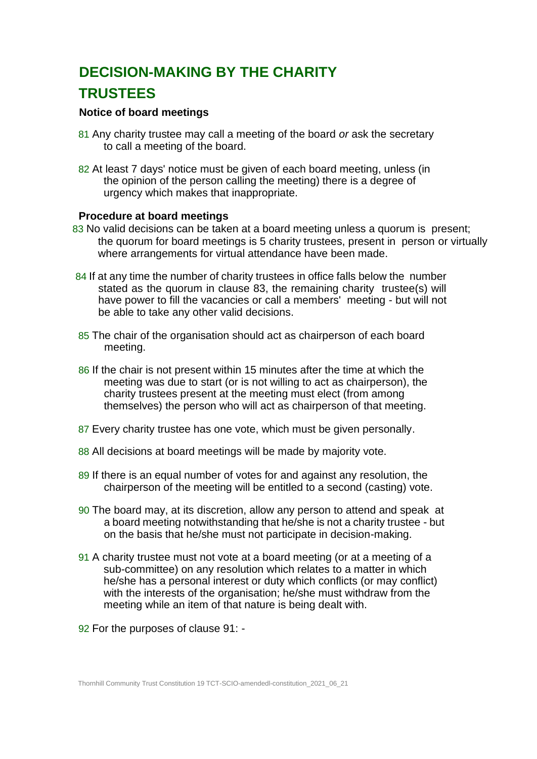# **DECISION-MAKING BY THE CHARITY TRUSTEES**

### **Notice of board meetings**

- 81 Any charity trustee may call a meeting of the board *or* ask the secretary to call a meeting of the board.
- 82 At least 7 days' notice must be given of each board meeting, unless (in the opinion of the person calling the meeting) there is a degree of urgency which makes that inappropriate.

#### **Procedure at board meetings**

- 83 No valid decisions can be taken at a board meeting unless a quorum is present; the quorum for board meetings is 5 charity trustees, present in person or virtually where arrangements for virtual attendance have been made.
- 84 If at any time the number of charity trustees in office falls below the number stated as the quorum in clause 83, the remaining charity trustee(s) will have power to fill the vacancies or call a members' meeting - but will not be able to take any other valid decisions.
- 85 The chair of the organisation should act as chairperson of each board meeting.
- 86 If the chair is not present within 15 minutes after the time at which the meeting was due to start (or is not willing to act as chairperson), the charity trustees present at the meeting must elect (from among themselves) the person who will act as chairperson of that meeting.
- 87 Every charity trustee has one vote, which must be given personally.
- 88 All decisions at board meetings will be made by majority vote.
- 89 If there is an equal number of votes for and against any resolution, the chairperson of the meeting will be entitled to a second (casting) vote.
- 90 The board may, at its discretion, allow any person to attend and speak at a board meeting notwithstanding that he/she is not a charity trustee - but on the basis that he/she must not participate in decision-making.
- 91 A charity trustee must not vote at a board meeting (or at a meeting of a sub-committee) on any resolution which relates to a matter in which he/she has a personal interest or duty which conflicts (or may conflict) with the interests of the organisation; he/she must withdraw from the meeting while an item of that nature is being dealt with.
- 92 For the purposes of clause 91: -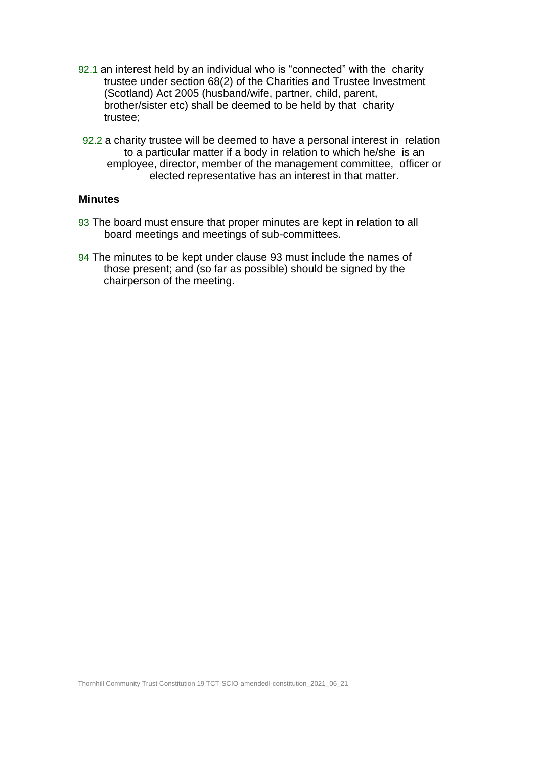- 92.1 an interest held by an individual who is "connected" with the charity trustee under section 68(2) of the Charities and Trustee Investment (Scotland) Act 2005 (husband/wife, partner, child, parent, brother/sister etc) shall be deemed to be held by that charity trustee;
- 92.2 a charity trustee will be deemed to have a personal interest in relation to a particular matter if a body in relation to which he/she is an employee, director, member of the management committee, officer or elected representative has an interest in that matter.

#### **Minutes**

- 93 The board must ensure that proper minutes are kept in relation to all board meetings and meetings of sub-committees.
- 94 The minutes to be kept under clause 93 must include the names of those present; and (so far as possible) should be signed by the chairperson of the meeting.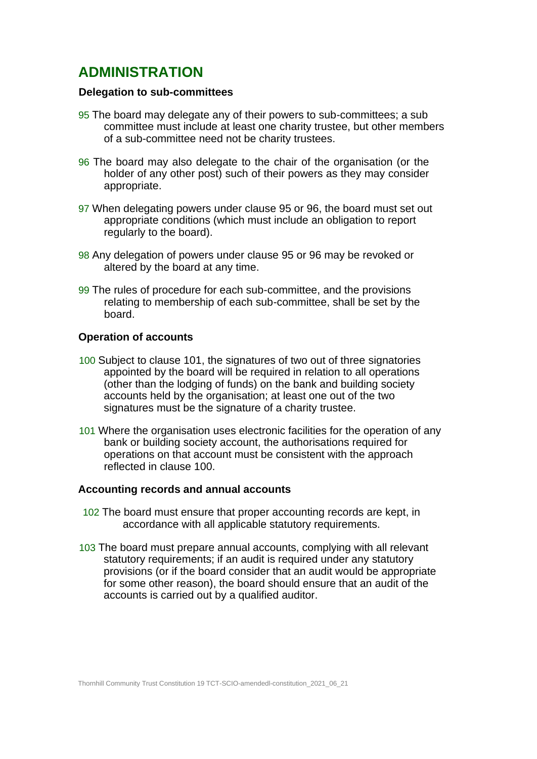# **ADMINISTRATION**

#### **Delegation to sub-committees**

- 95 The board may delegate any of their powers to sub-committees; a sub committee must include at least one charity trustee, but other members of a sub-committee need not be charity trustees.
- 96 The board may also delegate to the chair of the organisation (or the holder of any other post) such of their powers as they may consider appropriate.
- 97 When delegating powers under clause 95 or 96, the board must set out appropriate conditions (which must include an obligation to report regularly to the board).
- 98 Any delegation of powers under clause 95 or 96 may be revoked or altered by the board at any time.
- 99 The rules of procedure for each sub-committee, and the provisions relating to membership of each sub-committee, shall be set by the board.

### **Operation of accounts**

- 100 Subject to clause 101, the signatures of two out of three signatories appointed by the board will be required in relation to all operations (other than the lodging of funds) on the bank and building society accounts held by the organisation; at least one out of the two signatures must be the signature of a charity trustee.
- 101 Where the organisation uses electronic facilities for the operation of any bank or building society account, the authorisations required for operations on that account must be consistent with the approach reflected in clause 100.

#### **Accounting records and annual accounts**

- 102 The board must ensure that proper accounting records are kept, in accordance with all applicable statutory requirements.
- 103 The board must prepare annual accounts, complying with all relevant statutory requirements; if an audit is required under any statutory provisions (or if the board consider that an audit would be appropriate for some other reason), the board should ensure that an audit of the accounts is carried out by a qualified auditor.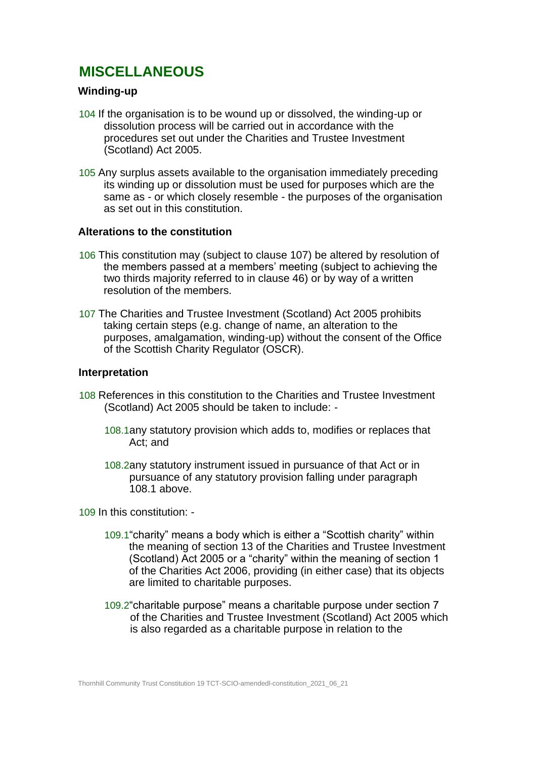# **MISCELLANEOUS**

# **Winding-up**

- 104 If the organisation is to be wound up or dissolved, the winding-up or dissolution process will be carried out in accordance with the procedures set out under the Charities and Trustee Investment (Scotland) Act 2005.
- 105 Any surplus assets available to the organisation immediately preceding its winding up or dissolution must be used for purposes which are the same as - or which closely resemble - the purposes of the organisation as set out in this constitution.

#### **Alterations to the constitution**

- 106 This constitution may (subject to clause 107) be altered by resolution of the members passed at a members' meeting (subject to achieving the two thirds majority referred to in clause 46) or by way of a written resolution of the members.
- 107 The Charities and Trustee Investment (Scotland) Act 2005 prohibits taking certain steps (e.g. change of name, an alteration to the purposes, amalgamation, winding-up) without the consent of the Office of the Scottish Charity Regulator (OSCR).

#### **Interpretation**

- 108 References in this constitution to the Charities and Trustee Investment (Scotland) Act 2005 should be taken to include: -
	- 108.1any statutory provision which adds to, modifies or replaces that Act; and
	- 108.2any statutory instrument issued in pursuance of that Act or in pursuance of any statutory provision falling under paragraph 108.1 above.

109 In this constitution: -

- 109.1"charity" means a body which is either a "Scottish charity" within the meaning of section 13 of the Charities and Trustee Investment (Scotland) Act 2005 or a "charity" within the meaning of section 1 of the Charities Act 2006, providing (in either case) that its objects are limited to charitable purposes.
- 109.2"charitable purpose" means a charitable purpose under section 7 of the Charities and Trustee Investment (Scotland) Act 2005 which is also regarded as a charitable purpose in relation to the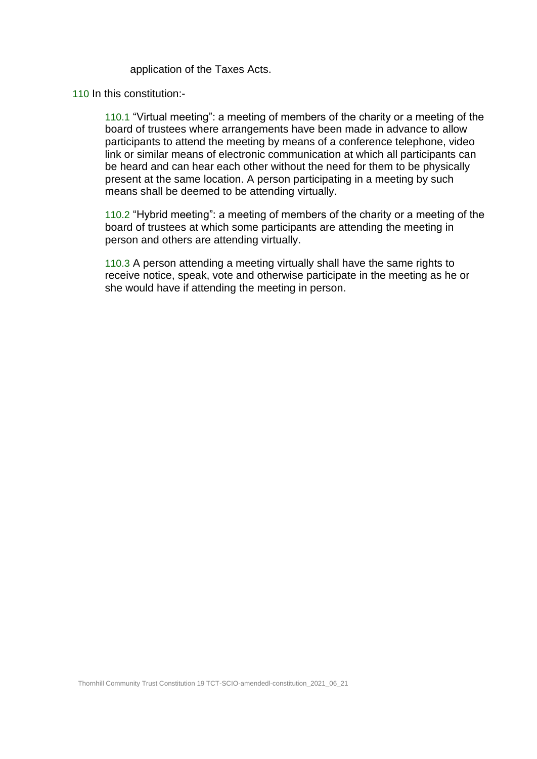application of the Taxes Acts.

110 In this constitution:-

110.1 "Virtual meeting": a meeting of members of the charity or a meeting of the board of trustees where arrangements have been made in advance to allow participants to attend the meeting by means of a conference telephone, video link or similar means of electronic communication at which all participants can be heard and can hear each other without the need for them to be physically present at the same location. A person participating in a meeting by such means shall be deemed to be attending virtually.

110.2 "Hybrid meeting": a meeting of members of the charity or a meeting of the board of trustees at which some participants are attending the meeting in person and others are attending virtually.

110.3 A person attending a meeting virtually shall have the same rights to receive notice, speak, vote and otherwise participate in the meeting as he or she would have if attending the meeting in person.